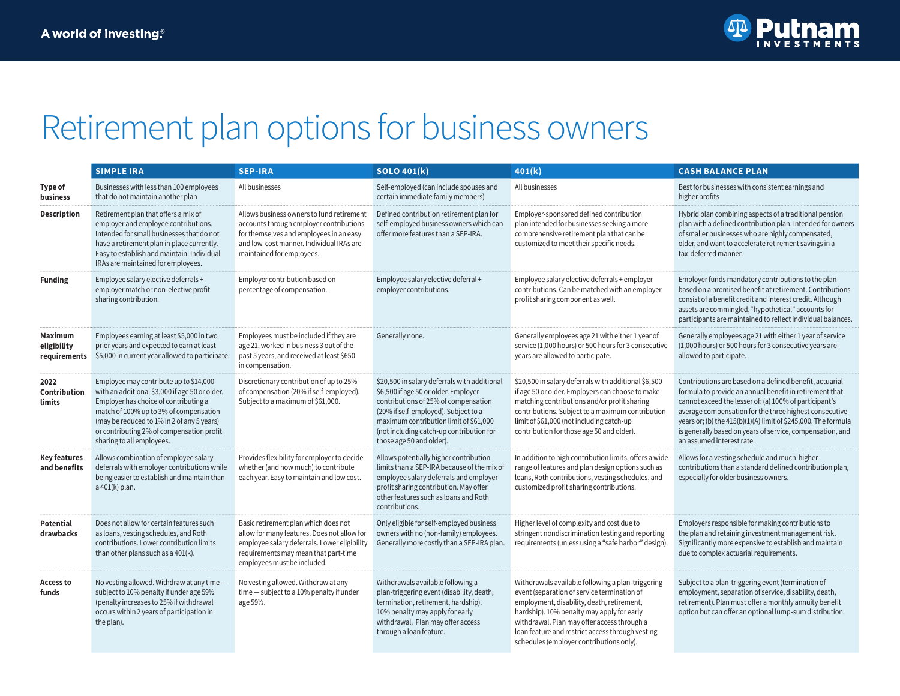

## Retirement plan options for business owners

|                                        | <b>SIMPLE IRA</b>                                                                                                                                                                                                                                                                                   | <b>SEP-IRA</b>                                                                                                                                                                                             | <b>SOLO 401(k)</b>                                                                                                                                                                                                                                                                     | 401(k)                                                                                                                                                                                                                                                                                                                                      | <b>CASH BALANCE PLAN</b>                                                                                                                                                                                                                                                                                                                                                                           |  |
|----------------------------------------|-----------------------------------------------------------------------------------------------------------------------------------------------------------------------------------------------------------------------------------------------------------------------------------------------------|------------------------------------------------------------------------------------------------------------------------------------------------------------------------------------------------------------|----------------------------------------------------------------------------------------------------------------------------------------------------------------------------------------------------------------------------------------------------------------------------------------|---------------------------------------------------------------------------------------------------------------------------------------------------------------------------------------------------------------------------------------------------------------------------------------------------------------------------------------------|----------------------------------------------------------------------------------------------------------------------------------------------------------------------------------------------------------------------------------------------------------------------------------------------------------------------------------------------------------------------------------------------------|--|
| <b>Type of</b><br>business             | Businesses with less than 100 employees<br>that do not maintain another plan                                                                                                                                                                                                                        | All businesses                                                                                                                                                                                             | Self-employed (can include spouses and<br>certain immediate family members)                                                                                                                                                                                                            | All businesses                                                                                                                                                                                                                                                                                                                              | Best for businesses with consistent earnings and<br>higher profits                                                                                                                                                                                                                                                                                                                                 |  |
| <b>Description</b>                     | Retirement plan that offers a mix of<br>employer and employee contributions.<br>Intended for small businesses that do not<br>have a retirement plan in place currently.<br>Easy to establish and maintain. Individual<br>IRAs are maintained for employees.                                         | Allows business owners to fund retirement<br>accounts through employer contributions<br>for themselves and employees in an easy<br>and low-cost manner. Individual IRAs are<br>maintained for employees.   | Defined contribution retirement plan for<br>self-employed business owners which can<br>offer more features than a SEP-IRA.                                                                                                                                                             | Employer-sponsored defined contribution<br>plan intended for businesses seeking a more<br>comprehensive retirement plan that can be<br>customized to meet their specific needs.                                                                                                                                                             | Hybrid plan combining aspects of a traditional pension<br>plan with a defined contribution plan. Intended for owners<br>of smaller businesses who are highly compensated,<br>older, and want to accelerate retirement savings in a<br>tax-deferred manner.                                                                                                                                         |  |
| <b>Funding</b>                         | Employee salary elective deferrals +<br>employer match or non-elective profit<br>sharing contribution.                                                                                                                                                                                              | Employer contribution based on<br>percentage of compensation.                                                                                                                                              | Employee salary elective deferral +<br>employer contributions.                                                                                                                                                                                                                         | Employee salary elective deferrals + employer<br>contributions. Can be matched with an employer<br>profit sharing component as well.                                                                                                                                                                                                        | Employer funds mandatory contributions to the plan<br>based on a promised benefit at retirement. Contributions<br>consist of a benefit credit and interest credit. Although<br>assets are commingled, "hypothetical" accounts for<br>participants are maintained to reflect individual balances.                                                                                                   |  |
| Maximum<br>eligibility<br>requirements | Employees earning at least \$5,000 in two<br>prior years and expected to earn at least<br>\$5,000 in current year allowed to participate.                                                                                                                                                           | Employees must be included if they are<br>age 21, worked in business 3 out of the<br>past 5 years, and received at least \$650<br>in compensation.                                                         | Generally none.                                                                                                                                                                                                                                                                        | Generally employees age 21 with either 1 year of<br>service (1,000 hours) or 500 hours for 3 consecutive<br>years are allowed to participate.                                                                                                                                                                                               | Generally employees age 21 with either 1 year of service<br>(1,000 hours) or 500 hours for 3 consecutive years are<br>allowed to participate.                                                                                                                                                                                                                                                      |  |
| 2022<br>Contribution<br>limits         | Employee may contribute up to \$14,000<br>with an additional \$3,000 if age 50 or older.<br>Employer has choice of contributing a<br>match of 100% up to 3% of compensation<br>(may be reduced to 1% in 2 of any 5 years)<br>or contributing 2% of compensation profit<br>sharing to all employees. | Discretionary contribution of up to 25%<br>of compensation (20% if self-employed).<br>Subject to a maximum of \$61,000.                                                                                    | \$20,500 in salary deferrals with additional<br>\$6,500 if age 50 or older. Employer<br>contributions of 25% of compensation<br>(20% if self-employed). Subject to a<br>maximum contribution limit of \$61,000<br>(not including catch-up contribution for<br>those age 50 and older). | \$20,500 in salary deferrals with additional \$6,500<br>if age 50 or older. Employers can choose to make<br>matching contributions and/or profit sharing<br>contributions. Subject to a maximum contribution<br>limit of \$61,000 (not including catch-up<br>contribution for those age 50 and older).                                      | Contributions are based on a defined benefit, actuarial<br>formula to provide an annual benefit in retirement that<br>cannot exceed the lesser of: (a) 100% of participant's<br>average compensation for the three highest consecutive<br>years or; (b) the 415(b)(1)(A) limit of \$245,000. The formula<br>is generally based on years of service, compensation, and<br>an assumed interest rate. |  |
| <b>Key features</b><br>and benefits    | Allows combination of employee salary<br>deferrals with employer contributions while<br>being easier to establish and maintain than<br>a 401(k) plan.                                                                                                                                               | Provides flexibility for employer to decide<br>whether (and how much) to contribute<br>each year. Easy to maintain and low cost.                                                                           | Allows potentially higher contribution<br>limits than a SEP-IRA because of the mix of<br>employee salary deferrals and employer<br>profit sharing contribution. May offer<br>other features such as loans and Roth<br>contributions.                                                   | In addition to high contribution limits, offers a wide<br>range of features and plan design options such as<br>loans, Roth contributions, vesting schedules, and<br>customized profit sharing contributions.                                                                                                                                | Allows for a vesting schedule and much higher<br>contributions than a standard defined contribution plan,<br>especially for older business owners.                                                                                                                                                                                                                                                 |  |
| Potential<br>drawbacks                 | Does not allow for certain features such<br>as loans, vesting schedules, and Roth<br>contributions. Lower contribution limits<br>than other plans such as a 401(k).                                                                                                                                 | Basic retirement plan which does not<br>allow for many features. Does not allow for<br>employee salary deferrals. Lower eligibility<br>requirements may mean that part-time<br>employees must be included. | Only eligible for self-employed business<br>owners with no (non-family) employees.<br>Generally more costly than a SEP-IRA plan.                                                                                                                                                       | Higher level of complexity and cost due to<br>stringent nondiscrimination testing and reporting<br>requirements (unless using a "safe harbor" design)                                                                                                                                                                                       | Employers responsible for making contributions to<br>the plan and retaining investment management risk.<br>Significantly more expensive to establish and maintain<br>due to complex actuarial requirements.                                                                                                                                                                                        |  |
| <b>Access to</b><br>funds              | No vesting allowed. Withdraw at any time -<br>subject to 10% penalty if under age 591/2<br>(penalty increases to 25% if withdrawal<br>occurs within 2 years of participation in<br>the plan).                                                                                                       | No vesting allowed. Withdraw at any<br>time - subject to a 10% penalty if under<br>age 591/2.                                                                                                              | Withdrawals available following a<br>plan-triggering event (disability, death,<br>termination, retirement, hardship).<br>10% penalty may apply for early<br>withdrawal. Plan may offer access<br>through a loan feature.                                                               | Withdrawals available following a plan-triggering<br>event (separation of service termination of<br>employment, disability, death, retirement,<br>hardship). 10% penalty may apply for early<br>withdrawal. Plan may offer access through a<br>loan feature and restrict access through vesting<br>schedules (employer contributions only). | Subject to a plan-triggering event (termination of<br>employment, separation of service, disability, death,<br>retirement). Plan must offer a monthly annuity benefit<br>option but can offer an optional lump-sum distribution.                                                                                                                                                                   |  |